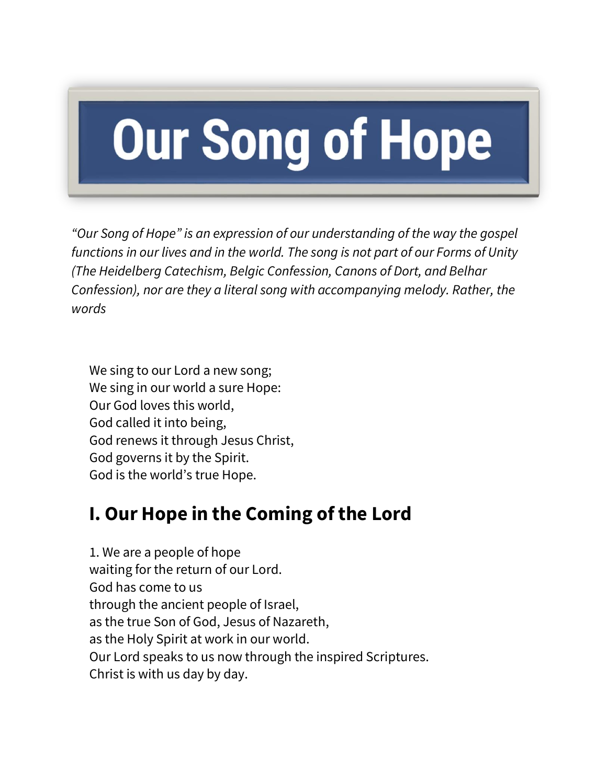# **Our Song of Hope**

*"Our Song of Hope" is an expression of our understanding of the way the gospel functions in our lives and in the world. The song is not part of our Forms of Unity (The Heidelberg Catechism, Belgic Confession, Canons of Dort, and Belhar Confession), nor are they a literal song with accompanying melody. Rather, the words*

We sing to our Lord a new song; We sing in our world a sure Hope: Our God loves this world, God called it into being, God renews it through Jesus Christ, God governs it by the Spirit. God is the world's true Hope.

# **I. Our Hope in the Coming of the Lord**

1. We are a people of hope waiting for the return of our Lord. God has come to us through the ancient people of Israel, as the true Son of God, Jesus of Nazareth, as the Holy Spirit at work in our world. Our Lord speaks to us now through the inspired Scriptures. Christ is with us day by day.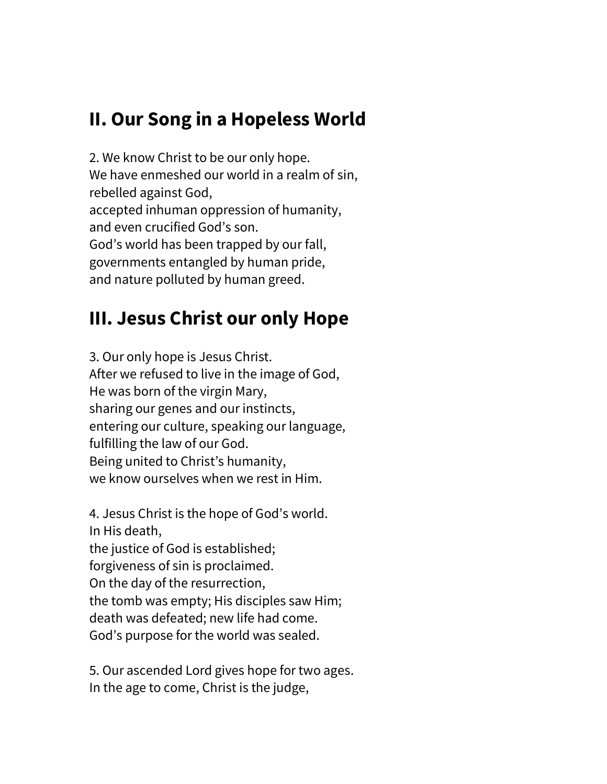# **II. Our Song in a Hopeless World**

2. We know Christ to be our only hope. We have enmeshed our world in a realm of sin, rebelled against God, accepted inhuman oppression of humanity, and even crucified God's son. God's world has been trapped by our fall, governments entangled by human pride, and nature polluted by human greed.

# **III. Jesus Christ our only Hope**

3. Our only hope is Jesus Christ. After we refused to live in the image of God, He was born of the virgin Mary, sharing our genes and our instincts, entering our culture, speaking our language, fulfilling the law of our God. Being united to Christ's humanity, we know ourselves when we rest in Him.

4. Jesus Christ is the hope of God's world. In His death, the justice of God is established; forgiveness of sin is proclaimed. On the day of the resurrection, the tomb was empty; His disciples saw Him; death was defeated; new life had come. God's purpose for the world was sealed.

5. Our ascended Lord gives hope for two ages. In the age to come, Christ is the judge,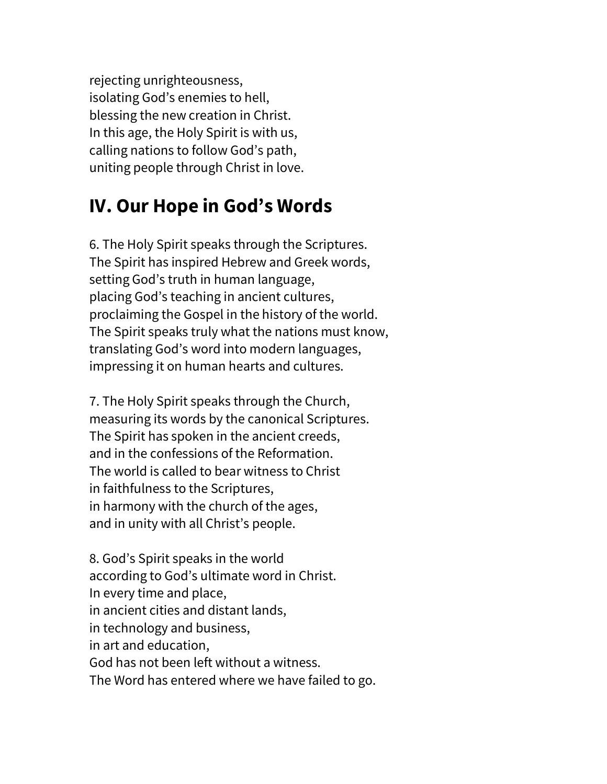rejecting unrighteousness, isolating God's enemies to hell, blessing the new creation in Christ. In this age, the Holy Spirit is with us, calling nations to follow God's path, uniting people through Christ in love.

#### **IV. Our Hope in God's Words**

6. The Holy Spirit speaks through the Scriptures. The Spirit has inspired Hebrew and Greek words, setting God's truth in human language, placing God's teaching in ancient cultures, proclaiming the Gospel in the history of the world. The Spirit speaks truly what the nations must know, translating God's word into modern languages, impressing it on human hearts and cultures.

7. The Holy Spirit speaks through the Church, measuring its words by the canonical Scriptures. The Spirit has spoken in the ancient creeds, and in the confessions of the Reformation. The world is called to bear witness to Christ in faithfulness to the Scriptures, in harmony with the church of the ages, and in unity with all Christ's people.

8. God's Spirit speaks in the world according to God's ultimate word in Christ. In every time and place, in ancient cities and distant lands, in technology and business, in art and education, God has not been left without a witness. The Word has entered where we have failed to go.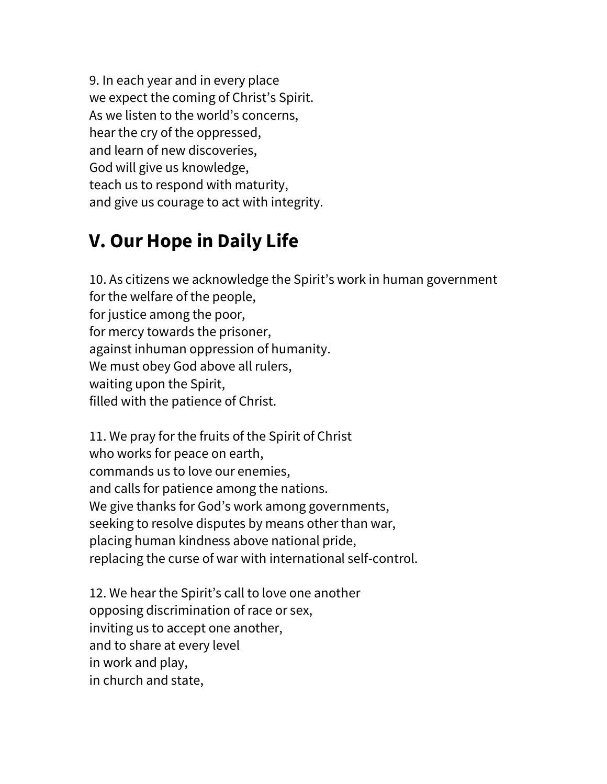9. In each year and in every place we expect the coming of Christ's Spirit. As we listen to the world's concerns, hear the cry of the oppressed, and learn of new discoveries, God will give us knowledge, teach us to respond with maturity, and give us courage to act with integrity.

# **V. Our Hope in Daily Life**

10. As citizens we acknowledge the Spirit's work in human government for the welfare of the people, for justice among the poor, for mercy towards the prisoner, against inhuman oppression of humanity. We must obey God above all rulers, waiting upon the Spirit, filled with the patience of Christ.

11. We pray for the fruits of the Spirit of Christ who works for peace on earth, commands us to love our enemies, and calls for patience among the nations. We give thanks for God's work among governments, seeking to resolve disputes by means other than war, placing human kindness above national pride, replacing the curse of war with international self-control.

12. We hear the Spirit's call to love one another opposing discrimination of race or sex, inviting us to accept one another, and to share at every level in work and play, in church and state,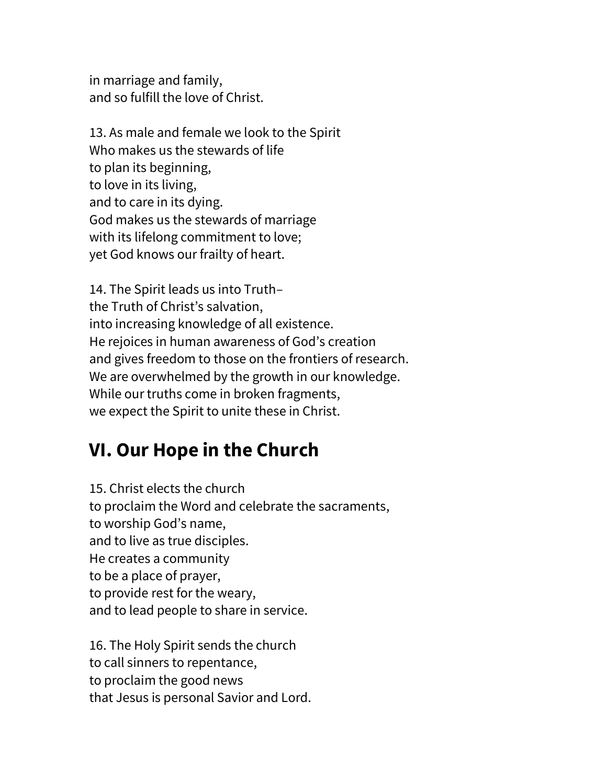in marriage and family, and so fulfill the love of Christ.

13. As male and female we look to the Spirit Who makes us the stewards of life to plan its beginning, to love in its living, and to care in its dying. God makes us the stewards of marriage with its lifelong commitment to love; yet God knows our frailty of heart.

14. The Spirit leads us into Truth– the Truth of Christ's salvation, into increasing knowledge of all existence. He rejoices in human awareness of God's creation and gives freedom to those on the frontiers of research. We are overwhelmed by the growth in our knowledge. While our truths come in broken fragments, we expect the Spirit to unite these in Christ.

## **VI. Our Hope in the Church**

15. Christ elects the church to proclaim the Word and celebrate the sacraments, to worship God's name, and to live as true disciples. He creates a community to be a place of prayer, to provide rest for the weary, and to lead people to share in service.

16. The Holy Spirit sends the church to call sinners to repentance, to proclaim the good news that Jesus is personal Savior and Lord.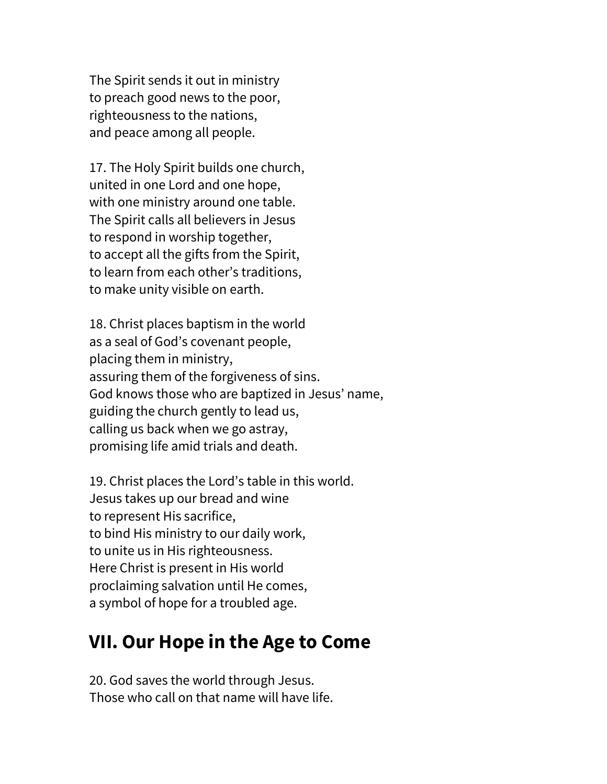The Spirit sends it out in ministry to preach good news to the poor, righteousness to the nations, and peace among all people.

17. The Holy Spirit builds one church, united in one Lord and one hope, with one ministry around one table. The Spirit calls all believers in Jesus to respond in worship together, to accept all the gifts from the Spirit, to learn from each other's traditions, to make unity visible on earth.

18. Christ places baptism in the world as a seal of God's covenant people, placing them in ministry, assuring them of the forgiveness of sins. God knows those who are baptized in Jesus' name, guiding the church gently to lead us, calling us back when we go astray, promising life amid trials and death.

19. Christ places the Lord's table in this world. Jesus takes up our bread and wine to represent His sacrifice, to bind His ministry to our daily work, to unite us in His righteousness. Here Christ is present in His world proclaiming salvation until He comes, a symbol of hope for a troubled age.

#### **VII. Our Hope in the Age to Come**

20. God saves the world through Jesus. Those who call on that name will have life.